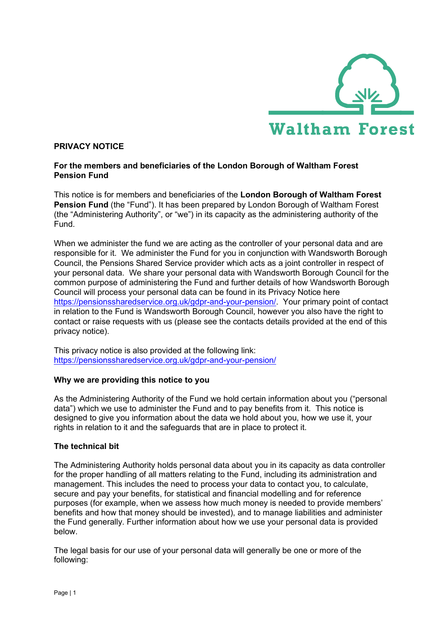

## PRIVACY NOTICE

## For the members and beneficiaries of the London Borough of Waltham Forest Pension Fund

This notice is for members and beneficiaries of the London Borough of Waltham Forest Pension Fund (the "Fund"). It has been prepared by London Borough of Waltham Forest (the "Administering Authority", or "we") in its capacity as the administering authority of the Fund.

When we administer the fund we are acting as the controller of your personal data and are responsible for it. We administer the Fund for you in conjunction with Wandsworth Borough Council, the Pensions Shared Service provider which acts as a joint controller in respect of your personal data. We share your personal data with Wandsworth Borough Council for the common purpose of administering the Fund and further details of how Wandsworth Borough Council will process your personal data can be found in its Privacy Notice here https://pensionssharedservice.org.uk/gdpr-and-your-pension/. Your primary point of contact in relation to the Fund is Wandsworth Borough Council, however you also have the right to contact or raise requests with us (please see the contacts details provided at the end of this privacy notice).

This privacy notice is also provided at the following link: https://pensionssharedservice.org.uk/gdpr-and-your-pension/

## Why we are providing this notice to you

As the Administering Authority of the Fund we hold certain information about you ("personal data") which we use to administer the Fund and to pay benefits from it. This notice is designed to give you information about the data we hold about you, how we use it, your rights in relation to it and the safeguards that are in place to protect it.

## The technical bit

The Administering Authority holds personal data about you in its capacity as data controller for the proper handling of all matters relating to the Fund, including its administration and management. This includes the need to process your data to contact you, to calculate, secure and pay your benefits, for statistical and financial modelling and for reference purposes (for example, when we assess how much money is needed to provide members' benefits and how that money should be invested), and to manage liabilities and administer the Fund generally. Further information about how we use your personal data is provided below.

The legal basis for our use of your personal data will generally be one or more of the following: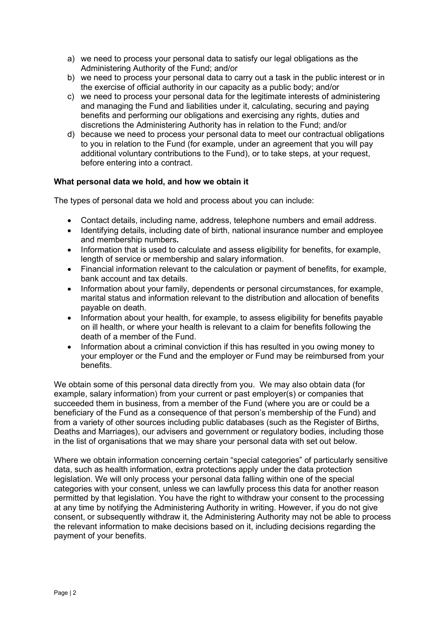- a) we need to process your personal data to satisfy our legal obligations as the Administering Authority of the Fund; and/or
- b) we need to process your personal data to carry out a task in the public interest or in the exercise of official authority in our capacity as a public body; and/or
- c) we need to process your personal data for the legitimate interests of administering and managing the Fund and liabilities under it, calculating, securing and paying benefits and performing our obligations and exercising any rights, duties and discretions the Administering Authority has in relation to the Fund; and/or
- d) because we need to process your personal data to meet our contractual obligations to you in relation to the Fund (for example, under an agreement that you will pay additional voluntary contributions to the Fund), or to take steps, at your request, before entering into a contract.

### What personal data we hold, and how we obtain it

The types of personal data we hold and process about you can include:

- Contact details, including name, address, telephone numbers and email address.
- Identifying details, including date of birth, national insurance number and employee and membership numbers.
- Information that is used to calculate and assess eligibility for benefits, for example, length of service or membership and salary information.
- Financial information relevant to the calculation or payment of benefits, for example, bank account and tax details.
- Information about your family, dependents or personal circumstances, for example, marital status and information relevant to the distribution and allocation of benefits payable on death.
- Information about your health, for example, to assess eligibility for benefits payable on ill health, or where your health is relevant to a claim for benefits following the death of a member of the Fund.
- Information about a criminal conviction if this has resulted in you owing money to your employer or the Fund and the employer or Fund may be reimbursed from your benefits.

We obtain some of this personal data directly from you. We may also obtain data (for example, salary information) from your current or past employer(s) or companies that succeeded them in business, from a member of the Fund (where you are or could be a beneficiary of the Fund as a consequence of that person's membership of the Fund) and from a variety of other sources including public databases (such as the Register of Births, Deaths and Marriages), our advisers and government or regulatory bodies, including those in the list of organisations that we may share your personal data with set out below.

Where we obtain information concerning certain "special categories" of particularly sensitive data, such as health information, extra protections apply under the data protection legislation. We will only process your personal data falling within one of the special categories with your consent, unless we can lawfully process this data for another reason permitted by that legislation. You have the right to withdraw your consent to the processing at any time by notifying the Administering Authority in writing. However, if you do not give consent, or subsequently withdraw it, the Administering Authority may not be able to process the relevant information to make decisions based on it, including decisions regarding the payment of your benefits.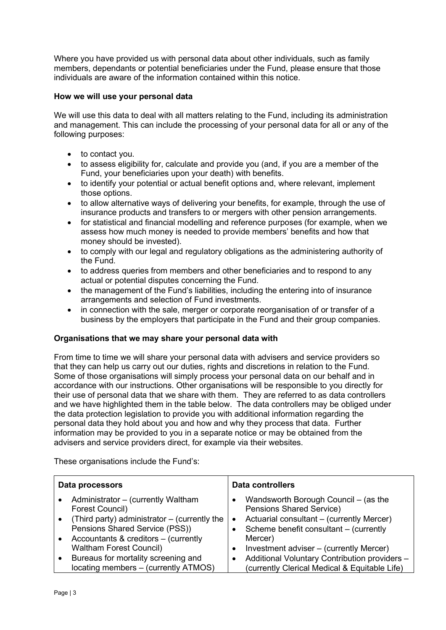Where you have provided us with personal data about other individuals, such as family members, dependants or potential beneficiaries under the Fund, please ensure that those individuals are aware of the information contained within this notice.

# How we will use your personal data

We will use this data to deal with all matters relating to the Fund, including its administration and management. This can include the processing of your personal data for all or any of the following purposes:

- to contact you.
- to assess eligibility for, calculate and provide you (and, if you are a member of the Fund, your beneficiaries upon your death) with benefits.
- to identify your potential or actual benefit options and, where relevant, implement those options.
- to allow alternative ways of delivering your benefits, for example, through the use of insurance products and transfers to or mergers with other pension arrangements.
- for statistical and financial modelling and reference purposes (for example, when we assess how much money is needed to provide members' benefits and how that money should be invested).
- to comply with our legal and regulatory obligations as the administering authority of the Fund.
- to address queries from members and other beneficiaries and to respond to any actual or potential disputes concerning the Fund.
- the management of the Fund's liabilities, including the entering into of insurance arrangements and selection of Fund investments.
- in connection with the sale, merger or corporate reorganisation of or transfer of a business by the employers that participate in the Fund and their group companies.

## Organisations that we may share your personal data with

From time to time we will share your personal data with advisers and service providers so that they can help us carry out our duties, rights and discretions in relation to the Fund. Some of those organisations will simply process your personal data on our behalf and in accordance with our instructions. Other organisations will be responsible to you directly for their use of personal data that we share with them. They are referred to as data controllers and we have highlighted them in the table below. The data controllers may be obliged under the data protection legislation to provide you with additional information regarding the personal data they hold about you and how and why they process that data. Further information may be provided to you in a separate notice or may be obtained from the advisers and service providers direct, for example via their websites.

These organisations include the Fund's:

| Data processors |                                                                                  | <b>Data controllers</b> |                                                                                                |
|-----------------|----------------------------------------------------------------------------------|-------------------------|------------------------------------------------------------------------------------------------|
|                 | Administrator - (currently Waltham<br>Forest Council)                            | $\bullet$               | Wandsworth Borough Council – (as the<br><b>Pensions Shared Service)</b>                        |
|                 | (Third party) administrator $-$ (currently the<br>Pensions Shared Service (PSS)) | $\bullet$<br>$\bullet$  | Actuarial consultant – (currently Mercer)<br>Scheme benefit consultant - (currently            |
|                 | Accountants & creditors - (currently<br><b>Waltham Forest Council)</b>           | $\bullet$               | Mercer)<br>Investment adviser – (currently Mercer)                                             |
| $\bullet$       | Bureaus for mortality screening and<br>locating members - (currently ATMOS)      | $\bullet$               | Additional Voluntary Contribution providers -<br>(currently Clerical Medical & Equitable Life) |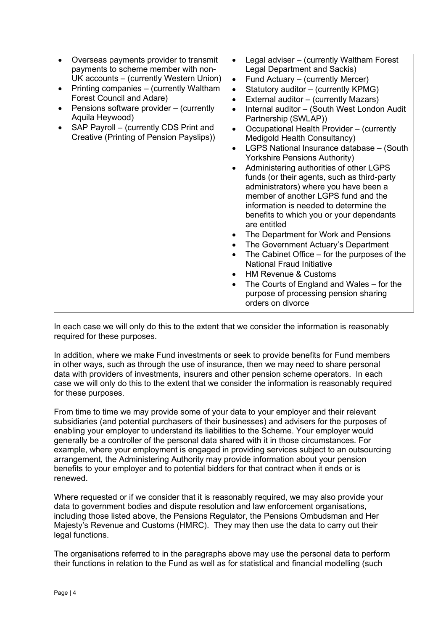| $\bullet$ | Overseas payments provider to transmit<br>payments to scheme member with non-<br>UK accounts – (currently Western Union)<br>Printing companies - (currently Waltham<br>Forest Council and Adare)<br>Pensions software provider – (currently<br>Aquila Heywood)<br>SAP Payroll - (currently CDS Print and<br>Creative (Printing of Pension Payslips)) | Legal adviser - (currently Waltham Forest<br>$\bullet$<br>Legal Department and Sackis)<br>Fund Actuary – (currently Mercer)<br>$\bullet$<br>Statutory auditor - (currently KPMG)<br>$\bullet$<br>External auditor - (currently Mazars)<br>$\bullet$<br>Internal auditor - (South West London Audit<br>$\bullet$<br>Partnership (SWLAP))<br>Occupational Health Provider - (currently<br>$\bullet$<br>Medigold Health Consultancy)<br>LGPS National Insurance database - (South<br>$\bullet$<br><b>Yorkshire Pensions Authority)</b><br>Administering authorities of other LGPS<br>$\bullet$<br>funds (or their agents, such as third-party<br>administrators) where you have been a<br>member of another LGPS fund and the<br>information is needed to determine the<br>benefits to which you or your dependants<br>are entitled<br>The Department for Work and Pensions<br>٠<br>The Government Actuary's Department<br>$\bullet$<br>The Cabinet Office $-$ for the purposes of the<br>$\bullet$<br><b>National Fraud Initiative</b><br><b>HM Revenue &amp; Customs</b><br>$\bullet$<br>The Courts of England and Wales - for the<br>$\bullet$ |
|-----------|------------------------------------------------------------------------------------------------------------------------------------------------------------------------------------------------------------------------------------------------------------------------------------------------------------------------------------------------------|------------------------------------------------------------------------------------------------------------------------------------------------------------------------------------------------------------------------------------------------------------------------------------------------------------------------------------------------------------------------------------------------------------------------------------------------------------------------------------------------------------------------------------------------------------------------------------------------------------------------------------------------------------------------------------------------------------------------------------------------------------------------------------------------------------------------------------------------------------------------------------------------------------------------------------------------------------------------------------------------------------------------------------------------------------------------------------------------------------------------------------------------|
|           |                                                                                                                                                                                                                                                                                                                                                      | purpose of processing pension sharing<br>orders on divorce                                                                                                                                                                                                                                                                                                                                                                                                                                                                                                                                                                                                                                                                                                                                                                                                                                                                                                                                                                                                                                                                                     |
|           |                                                                                                                                                                                                                                                                                                                                                      |                                                                                                                                                                                                                                                                                                                                                                                                                                                                                                                                                                                                                                                                                                                                                                                                                                                                                                                                                                                                                                                                                                                                                |

In each case we will only do this to the extent that we consider the information is reasonably required for these purposes.

In addition, where we make Fund investments or seek to provide benefits for Fund members in other ways, such as through the use of insurance, then we may need to share personal data with providers of investments, insurers and other pension scheme operators. In each case we will only do this to the extent that we consider the information is reasonably required for these purposes.

From time to time we may provide some of your data to your employer and their relevant subsidiaries (and potential purchasers of their businesses) and advisers for the purposes of enabling your employer to understand its liabilities to the Scheme. Your employer would generally be a controller of the personal data shared with it in those circumstances. For example, where your employment is engaged in providing services subject to an outsourcing arrangement, the Administering Authority may provide information about your pension benefits to your employer and to potential bidders for that contract when it ends or is renewed.

Where requested or if we consider that it is reasonably required, we may also provide your data to government bodies and dispute resolution and law enforcement organisations, including those listed above, the Pensions Regulator, the Pensions Ombudsman and Her Majesty's Revenue and Customs (HMRC). They may then use the data to carry out their legal functions.

The organisations referred to in the paragraphs above may use the personal data to perform their functions in relation to the Fund as well as for statistical and financial modelling (such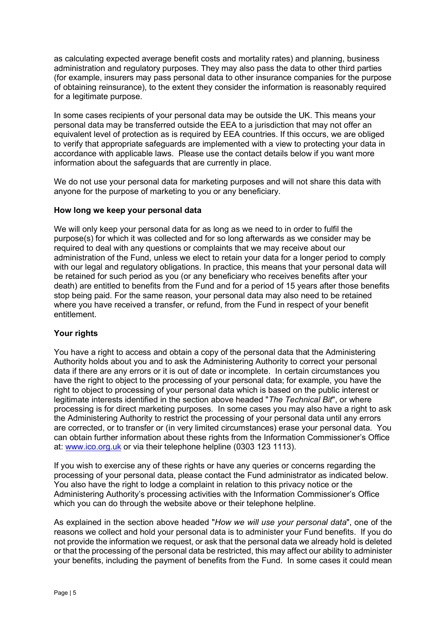as calculating expected average benefit costs and mortality rates) and planning, business administration and regulatory purposes. They may also pass the data to other third parties (for example, insurers may pass personal data to other insurance companies for the purpose of obtaining reinsurance), to the extent they consider the information is reasonably required for a legitimate purpose.

In some cases recipients of your personal data may be outside the UK. This means your personal data may be transferred outside the EEA to a jurisdiction that may not offer an equivalent level of protection as is required by EEA countries. If this occurs, we are obliged to verify that appropriate safeguards are implemented with a view to protecting your data in accordance with applicable laws. Please use the contact details below if you want more information about the safeguards that are currently in place.

We do not use your personal data for marketing purposes and will not share this data with anyone for the purpose of marketing to you or any beneficiary.

## How long we keep your personal data

We will only keep your personal data for as long as we need to in order to fulfil the purpose(s) for which it was collected and for so long afterwards as we consider may be required to deal with any questions or complaints that we may receive about our administration of the Fund, unless we elect to retain your data for a longer period to comply with our legal and regulatory obligations. In practice, this means that your personal data will be retained for such period as you (or any beneficiary who receives benefits after your death) are entitled to benefits from the Fund and for a period of 15 years after those benefits stop being paid. For the same reason, your personal data may also need to be retained where you have received a transfer, or refund, from the Fund in respect of your benefit entitlement.

## Your rights

You have a right to access and obtain a copy of the personal data that the Administering Authority holds about you and to ask the Administering Authority to correct your personal data if there are any errors or it is out of date or incomplete. In certain circumstances you have the right to object to the processing of your personal data; for example, you have the right to object to processing of your personal data which is based on the public interest or legitimate interests identified in the section above headed "The Technical Bit", or where processing is for direct marketing purposes. In some cases you may also have a right to ask the Administering Authority to restrict the processing of your personal data until any errors are corrected, or to transfer or (in very limited circumstances) erase your personal data. You can obtain further information about these rights from the Information Commissioner's Office at: www.ico.org.uk or via their telephone helpline (0303 123 1113).

If you wish to exercise any of these rights or have any queries or concerns regarding the processing of your personal data, please contact the Fund administrator as indicated below. You also have the right to lodge a complaint in relation to this privacy notice or the Administering Authority's processing activities with the Information Commissioner's Office which you can do through the website above or their telephone helpline.

As explained in the section above headed "How we will use your personal data", one of the reasons we collect and hold your personal data is to administer your Fund benefits. If you do not provide the information we request, or ask that the personal data we already hold is deleted or that the processing of the personal data be restricted, this may affect our ability to administer your benefits, including the payment of benefits from the Fund. In some cases it could mean